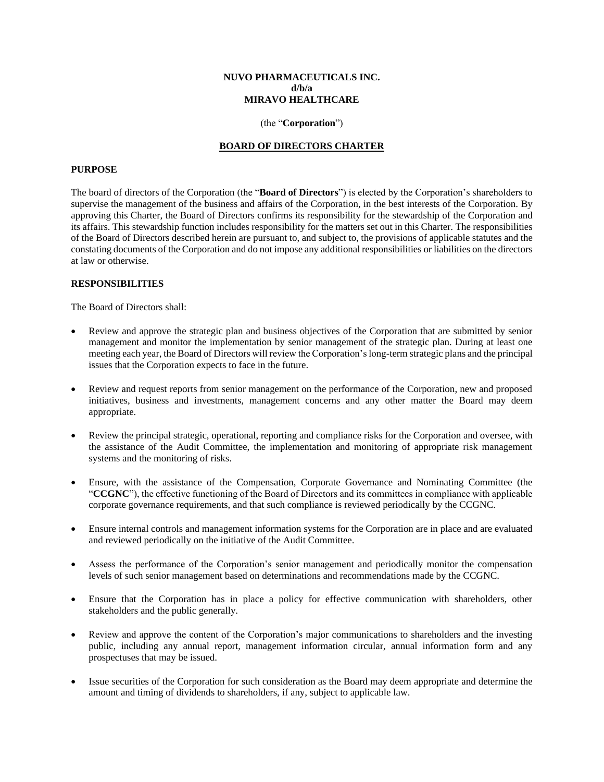#### **NUVO PHARMACEUTICALS INC. d/b/a MIRAVO HEALTHCARE**

#### (the "**Corporation**")

### **BOARD OF DIRECTORS CHARTER**

#### **PURPOSE**

The board of directors of the Corporation (the "**Board of Directors**") is elected by the Corporation's shareholders to supervise the management of the business and affairs of the Corporation, in the best interests of the Corporation. By approving this Charter, the Board of Directors confirms its responsibility for the stewardship of the Corporation and its affairs. This stewardship function includes responsibility for the matters set out in this Charter. The responsibilities of the Board of Directors described herein are pursuant to, and subject to, the provisions of applicable statutes and the constating documents of the Corporation and do not impose any additional responsibilities or liabilities on the directors at law or otherwise.

#### **RESPONSIBILITIES**

The Board of Directors shall:

- Review and approve the strategic plan and business objectives of the Corporation that are submitted by senior management and monitor the implementation by senior management of the strategic plan. During at least one meeting each year, the Board of Directors will review the Corporation's long-term strategic plans and the principal issues that the Corporation expects to face in the future.
- Review and request reports from senior management on the performance of the Corporation, new and proposed initiatives, business and investments, management concerns and any other matter the Board may deem appropriate.
- Review the principal strategic, operational, reporting and compliance risks for the Corporation and oversee, with the assistance of the Audit Committee, the implementation and monitoring of appropriate risk management systems and the monitoring of risks.
- Ensure, with the assistance of the Compensation, Corporate Governance and Nominating Committee (the "**CCGNC**"), the effective functioning of the Board of Directors and its committees in compliance with applicable corporate governance requirements, and that such compliance is reviewed periodically by the CCGNC.
- Ensure internal controls and management information systems for the Corporation are in place and are evaluated and reviewed periodically on the initiative of the Audit Committee.
- Assess the performance of the Corporation's senior management and periodically monitor the compensation levels of such senior management based on determinations and recommendations made by the CCGNC.
- Ensure that the Corporation has in place a policy for effective communication with shareholders, other stakeholders and the public generally.
- Review and approve the content of the Corporation's major communications to shareholders and the investing public, including any annual report, management information circular, annual information form and any prospectuses that may be issued.
- Issue securities of the Corporation for such consideration as the Board may deem appropriate and determine the amount and timing of dividends to shareholders, if any, subject to applicable law.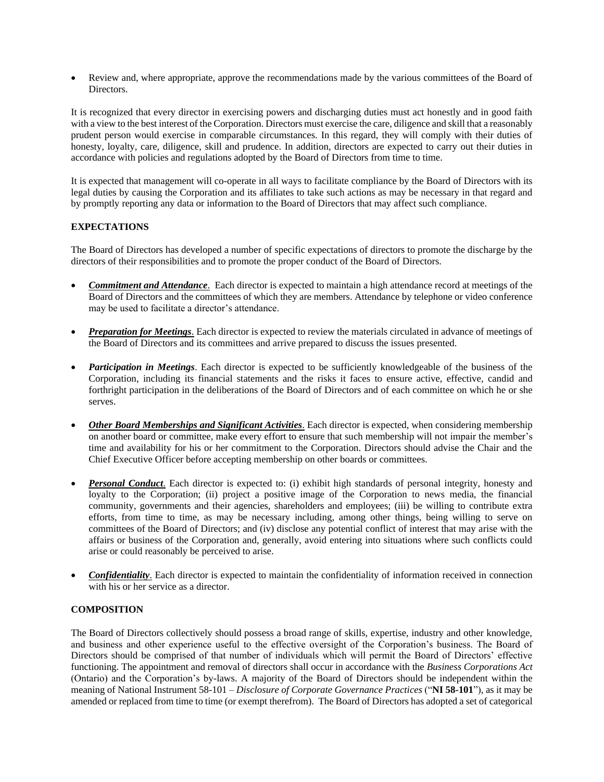• Review and, where appropriate, approve the recommendations made by the various committees of the Board of Directors.

It is recognized that every director in exercising powers and discharging duties must act honestly and in good faith with a view to the best interest of the Corporation. Directors must exercise the care, diligence and skill that a reasonably prudent person would exercise in comparable circumstances. In this regard, they will comply with their duties of honesty, loyalty, care, diligence, skill and prudence. In addition, directors are expected to carry out their duties in accordance with policies and regulations adopted by the Board of Directors from time to time.

It is expected that management will co-operate in all ways to facilitate compliance by the Board of Directors with its legal duties by causing the Corporation and its affiliates to take such actions as may be necessary in that regard and by promptly reporting any data or information to the Board of Directors that may affect such compliance.

# **EXPECTATIONS**

The Board of Directors has developed a number of specific expectations of directors to promote the discharge by the directors of their responsibilities and to promote the proper conduct of the Board of Directors.

- *Commitment and Attendance*. Each director is expected to maintain a high attendance record at meetings of the Board of Directors and the committees of which they are members. Attendance by telephone or video conference may be used to facilitate a director's attendance.
- *Preparation for Meetings*. Each director is expected to review the materials circulated in advance of meetings of the Board of Directors and its committees and arrive prepared to discuss the issues presented.
- *Participation in Meetings*. Each director is expected to be sufficiently knowledgeable of the business of the Corporation, including its financial statements and the risks it faces to ensure active, effective, candid and forthright participation in the deliberations of the Board of Directors and of each committee on which he or she serves.
- *Other Board Memberships and Significant Activities*. Each director is expected, when considering membership on another board or committee, make every effort to ensure that such membership will not impair the member's time and availability for his or her commitment to the Corporation. Directors should advise the Chair and the Chief Executive Officer before accepting membership on other boards or committees.
- **Personal Conduct**. Each director is expected to: (i) exhibit high standards of personal integrity, honesty and loyalty to the Corporation; (ii) project a positive image of the Corporation to news media, the financial community, governments and their agencies, shareholders and employees; (iii) be willing to contribute extra efforts, from time to time, as may be necessary including, among other things, being willing to serve on committees of the Board of Directors; and (iv) disclose any potential conflict of interest that may arise with the affairs or business of the Corporation and, generally, avoid entering into situations where such conflicts could arise or could reasonably be perceived to arise.
- *Confidentiality*. Each director is expected to maintain the confidentiality of information received in connection with his or her service as a director.

# **COMPOSITION**

The Board of Directors collectively should possess a broad range of skills, expertise, industry and other knowledge, and business and other experience useful to the effective oversight of the Corporation's business. The Board of Directors should be comprised of that number of individuals which will permit the Board of Directors' effective functioning. The appointment and removal of directors shall occur in accordance with the *Business Corporations Act* (Ontario) and the Corporation's by-laws. A majority of the Board of Directors should be independent within the meaning of National Instrument 58-101 – *Disclosure of Corporate Governance Practices* ("**NI 58-101**"), as it may be amended or replaced from time to time (or exempt therefrom). The Board of Directors has adopted a set of categorical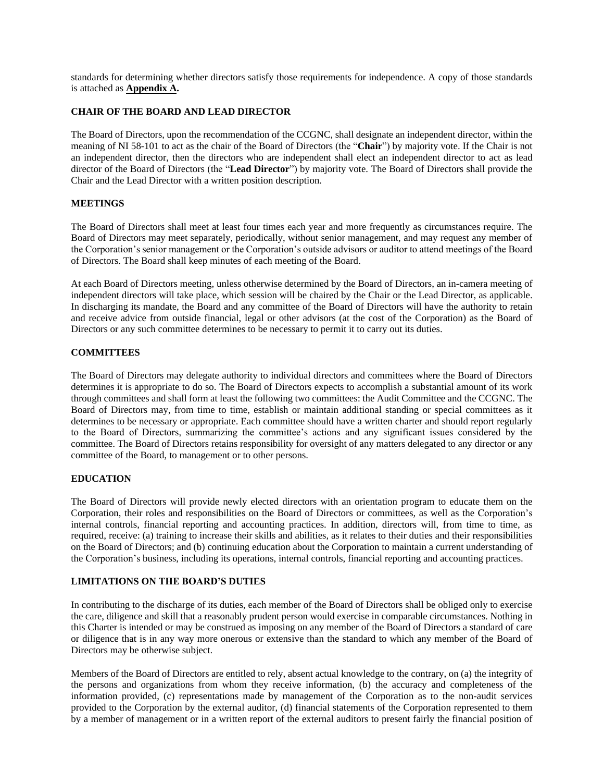standards for determining whether directors satisfy those requirements for independence. A copy of those standards is attached as **Appendix A.**

# **CHAIR OF THE BOARD AND LEAD DIRECTOR**

The Board of Directors, upon the recommendation of the CCGNC, shall designate an independent director, within the meaning of NI 58-101 to act as the chair of the Board of Directors (the "**Chair**") by majority vote. If the Chair is not an independent director, then the directors who are independent shall elect an independent director to act as lead director of the Board of Directors (the "**Lead Director**") by majority vote. The Board of Directors shall provide the Chair and the Lead Director with a written position description.

### **MEETINGS**

The Board of Directors shall meet at least four times each year and more frequently as circumstances require. The Board of Directors may meet separately, periodically, without senior management, and may request any member of the Corporation's senior management or the Corporation's outside advisors or auditor to attend meetings of the Board of Directors. The Board shall keep minutes of each meeting of the Board.

At each Board of Directors meeting, unless otherwise determined by the Board of Directors, an in-camera meeting of independent directors will take place, which session will be chaired by the Chair or the Lead Director, as applicable. In discharging its mandate, the Board and any committee of the Board of Directors will have the authority to retain and receive advice from outside financial, legal or other advisors (at the cost of the Corporation) as the Board of Directors or any such committee determines to be necessary to permit it to carry out its duties.

# **COMMITTEES**

The Board of Directors may delegate authority to individual directors and committees where the Board of Directors determines it is appropriate to do so. The Board of Directors expects to accomplish a substantial amount of its work through committees and shall form at least the following two committees: the Audit Committee and the CCGNC. The Board of Directors may, from time to time, establish or maintain additional standing or special committees as it determines to be necessary or appropriate. Each committee should have a written charter and should report regularly to the Board of Directors, summarizing the committee's actions and any significant issues considered by the committee. The Board of Directors retains responsibility for oversight of any matters delegated to any director or any committee of the Board, to management or to other persons.

### **EDUCATION**

The Board of Directors will provide newly elected directors with an orientation program to educate them on the Corporation, their roles and responsibilities on the Board of Directors or committees, as well as the Corporation's internal controls, financial reporting and accounting practices. In addition, directors will, from time to time, as required, receive: (a) training to increase their skills and abilities, as it relates to their duties and their responsibilities on the Board of Directors; and (b) continuing education about the Corporation to maintain a current understanding of the Corporation's business, including its operations, internal controls, financial reporting and accounting practices.

### **LIMITATIONS ON THE BOARD'S DUTIES**

In contributing to the discharge of its duties, each member of the Board of Directors shall be obliged only to exercise the care, diligence and skill that a reasonably prudent person would exercise in comparable circumstances. Nothing in this Charter is intended or may be construed as imposing on any member of the Board of Directors a standard of care or diligence that is in any way more onerous or extensive than the standard to which any member of the Board of Directors may be otherwise subject.

Members of the Board of Directors are entitled to rely, absent actual knowledge to the contrary, on (a) the integrity of the persons and organizations from whom they receive information, (b) the accuracy and completeness of the information provided, (c) representations made by management of the Corporation as to the non-audit services provided to the Corporation by the external auditor, (d) financial statements of the Corporation represented to them by a member of management or in a written report of the external auditors to present fairly the financial position of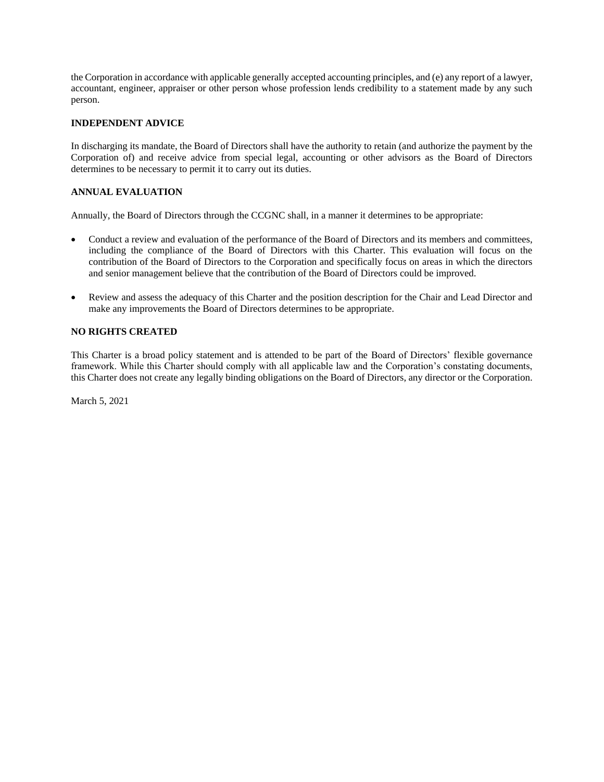the Corporation in accordance with applicable generally accepted accounting principles, and (e) any report of a lawyer, accountant, engineer, appraiser or other person whose profession lends credibility to a statement made by any such person.

# **INDEPENDENT ADVICE**

In discharging its mandate, the Board of Directors shall have the authority to retain (and authorize the payment by the Corporation of) and receive advice from special legal, accounting or other advisors as the Board of Directors determines to be necessary to permit it to carry out its duties.

# **ANNUAL EVALUATION**

Annually, the Board of Directors through the CCGNC shall, in a manner it determines to be appropriate:

- Conduct a review and evaluation of the performance of the Board of Directors and its members and committees, including the compliance of the Board of Directors with this Charter. This evaluation will focus on the contribution of the Board of Directors to the Corporation and specifically focus on areas in which the directors and senior management believe that the contribution of the Board of Directors could be improved.
- Review and assess the adequacy of this Charter and the position description for the Chair and Lead Director and make any improvements the Board of Directors determines to be appropriate.

## **NO RIGHTS CREATED**

This Charter is a broad policy statement and is attended to be part of the Board of Directors' flexible governance framework. While this Charter should comply with all applicable law and the Corporation's constating documents, this Charter does not create any legally binding obligations on the Board of Directors, any director or the Corporation.

March 5, 2021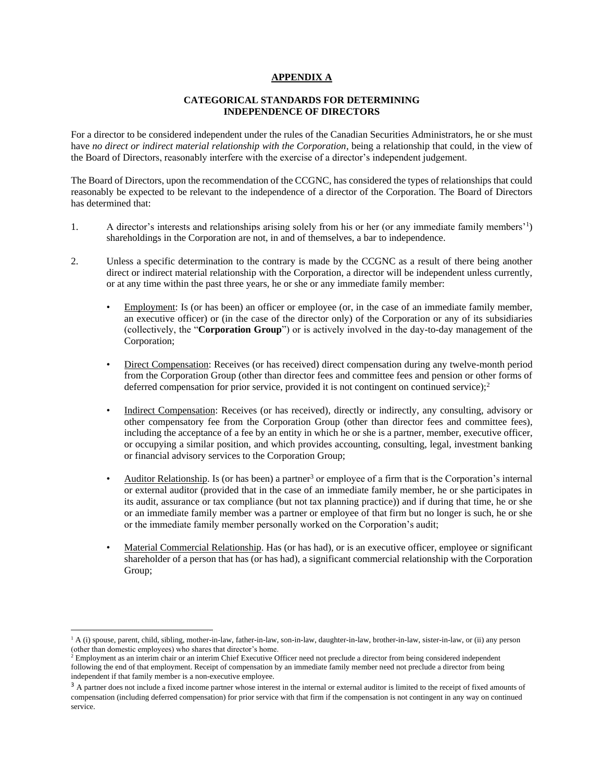### **APPENDIX A**

### **CATEGORICAL STANDARDS FOR DETERMINING INDEPENDENCE OF DIRECTORS**

For a director to be considered independent under the rules of the Canadian Securities Administrators, he or she must have *no direct or indirect material relationship with the Corporation*, being a relationship that could, in the view of the Board of Directors, reasonably interfere with the exercise of a director's independent judgement.

The Board of Directors, upon the recommendation of the CCGNC, has considered the types of relationships that could reasonably be expected to be relevant to the independence of a director of the Corporation. The Board of Directors has determined that:

- 1. A director's interests and relationships arising solely from his or her (or any immediate family members'<sup>1</sup> ) shareholdings in the Corporation are not, in and of themselves, a bar to independence.
- 2. Unless a specific determination to the contrary is made by the CCGNC as a result of there being another direct or indirect material relationship with the Corporation, a director will be independent unless currently, or at any time within the past three years, he or she or any immediate family member:
	- Employment: Is (or has been) an officer or employee (or, in the case of an immediate family member, an executive officer) or (in the case of the director only) of the Corporation or any of its subsidiaries (collectively, the "**Corporation Group**") or is actively involved in the day-to-day management of the Corporation;
	- Direct Compensation: Receives (or has received) direct compensation during any twelve-month period from the Corporation Group (other than director fees and committee fees and pension or other forms of deferred compensation for prior service, provided it is not contingent on continued service); $\frac{2}{3}$
	- Indirect Compensation: Receives (or has received), directly or indirectly, any consulting, advisory or other compensatory fee from the Corporation Group (other than director fees and committee fees), including the acceptance of a fee by an entity in which he or she is a partner, member, executive officer, or occupying a similar position, and which provides accounting, consulting, legal, investment banking or financial advisory services to the Corporation Group;
	- Auditor Relationship. Is (or has been) a partner<sup>3</sup> or employee of a firm that is the Corporation's internal or external auditor (provided that in the case of an immediate family member, he or she participates in its audit, assurance or tax compliance (but not tax planning practice)) and if during that time, he or she or an immediate family member was a partner or employee of that firm but no longer is such, he or she or the immediate family member personally worked on the Corporation's audit;
	- Material Commercial Relationship. Has (or has had), or is an executive officer, employee or significant shareholder of a person that has (or has had), a significant commercial relationship with the Corporation Group;

<sup>&</sup>lt;sup>1</sup> A (i) spouse, parent, child, sibling, mother-in-law, father-in-law, son-in-law, daughter-in-law, brother-in-law, sister-in-law, or (ii) any person (other than domestic employees) who shares that director's home.

 $<sup>2</sup>$  Employment as an interim chair or an interim Chief Executive Officer need not preclude a director from being considered independent</sup> following the end of that employment. Receipt of compensation by an immediate family member need not preclude a director from being independent if that family member is a non-executive employee.

<sup>&</sup>lt;sup>3</sup> A partner does not include a fixed income partner whose interest in the internal or external auditor is limited to the receipt of fixed amounts of compensation (including deferred compensation) for prior service with that firm if the compensation is not contingent in any way on continued service.